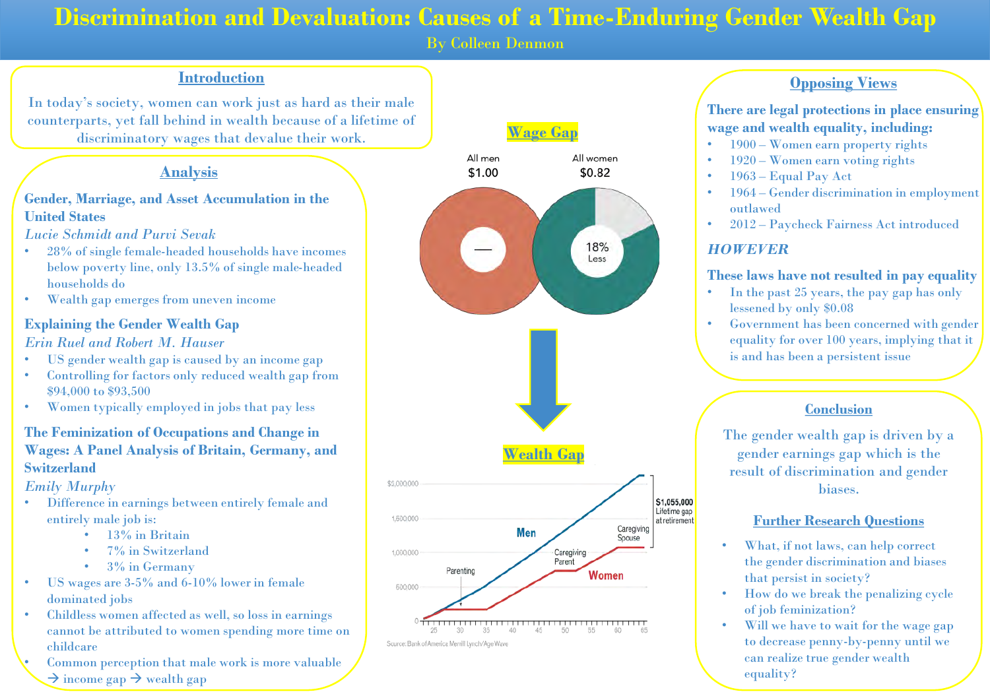# **Discrimination and Devaluation: Causes of a Time-Enduring Gender Wealth Gap**

By Colleen Denmon

#### **Introduction**

In today's society, women can work just as hard as their male counterparts, yet fall behind in wealth because of a lifetime of discriminatory wages that devalue their work.

### **Analysis**

#### **Gender, Marriage, and Asset Accumulation in the United States**

*Lucie Schmidt and Purvi Sevak*

- 28% of single female-headed households have incomes below poverty line, only 13.5% of single male-headed households do
- Wealth gap emerges from uneven income

### **Explaining the Gender Wealth Gap**

#### *Erin Ruel and Robert M. Hauser*

- US gender wealth gap is caused by an income gap
- Controlling for factors only reduced wealth gap from \$94,000 to \$93,500
- Women typically employed in jobs that pay less

#### **The Feminization of Occupations and Change in Wages: A Panel Analysis of Britain, Germany, and Switzerland**

#### *Emily Murphy*

- Difference in earnings between entirely female and entirely male job is:
	- 13% in Britain
	- 7% in Switzerland
	- 3% in Germany
- US wages are 3-5% and 6-10% lower in female dominated jobs
- Childless women affected as well, so loss in earnings cannot be attributed to women spending more time on childcare
- Common perception that male work is more valuable  $\rightarrow$  income gap  $\rightarrow$  wealth gap



### **Opposing Views**

**There are legal protections in place ensuring wage and wealth equality, including:**

- 1900 Women earn property rights
- 1920 Women earn voting rights
- 1963 Equal Pay Act
- 1964 Gender discrimination in employment outlawed
- 2012 Paycheck Fairness Act introduced

### *HOWEVER*

### **These laws have not resulted in pay equality**

- In the past 25 years, the pay gap has only lessened by only \$0.08
- Government has been concerned with gender equality for over 100 years, implying that it is and has been a persistent issue

# **Conclusion**

The gender wealth gap is driven by a gender earnings gap which is the result of discrimination and gender biases.

### **Further Research Questions**

- What, if not laws, can help correct the gender discrimination and biases that persist in society?
- How do we break the penalizing cycle of job feminization?
- Will we have to wait for the wage gap to decrease penny-by-penny until we can realize true gender wealth equality?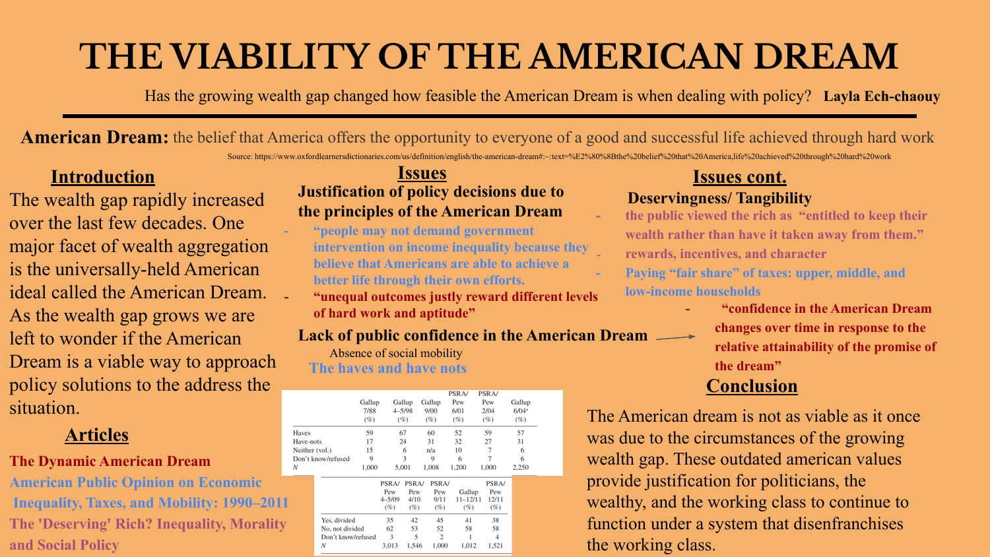# **THE VIABILITY OF THE AMERICAN DREAM**

Has the growing wealth gap changed how feasible the American Dream is when dealing with policy? **Layla Ech-chaouy**

American Dream: the belief that America offers the opportunity to everyone of a good and successful life achieved through hard work Source: https://www.oxfordlearnersdictionaries.com/us/definition/english/the-american-dream#:~:text=%E2%80%8Bthe%20belief%20that%20America,life%20achieved%20through%20hard%20work

# **Introduction**

The wealth gap rapidly increased over the last few decades. One major facet of wealth aggregation is the universally-held American ideal called the American Dream. As the wealth gap grows we are left to wonder if the American Dream is a viable way to approach policy solutions to the address the situation.

# **Articles**

# **The Dynamic American Dream**

**American Public Opinion on Economic Inequality, Taxes, and Mobility: 1990–2011 The 'Deserving' Rich? Inequality, Morality and Social Policy**

# **Issues Justification of policy decisions due to the principles of the American Dream**

- **"people may not demand government intervention on income inequality because they believe that Americans are able to achieve a better life through their own efforts.**
- **"unequal outcomes justly reward different levels of hard work and aptitude"**

# **Lack of public confidence in the American Dream**

Absence of social mobility **The haves and have nots**

|                    | Gallup<br>7/88<br>(%) |                                          | Gallup<br>$4 - 5/98$<br>(%)                 | Gallup<br>9/00<br>(%)                       | <b>PSRA/</b><br>Pew<br>6/01<br>(%)     | PSRA/<br>Pew<br>2/04<br>(%)                  | Gallup<br>$6/04$ <sup>a</sup><br>(%) |
|--------------------|-----------------------|------------------------------------------|---------------------------------------------|---------------------------------------------|----------------------------------------|----------------------------------------------|--------------------------------------|
| Haves              | 59                    |                                          | 67                                          | 60                                          | 52                                     | 59                                           | 57                                   |
| Have-nots          | 17                    |                                          | 24                                          | 31                                          | 32                                     | 27                                           | 31                                   |
| Neither (vol.)     | 15                    |                                          | 6                                           | n/a                                         | 10                                     | 7                                            | 6                                    |
| Don't know/refused | 9                     |                                          | 3                                           | 9                                           | 6                                      | $\overline{7}$                               | 6                                    |
| N                  | 1,000                 | <b>PSRA/</b><br>Pew<br>$4 - 5/09$<br>(%) | 5,001<br><b>PSRA/</b><br>Pew<br>4/10<br>(%) | 1.008<br><b>PSRA/</b><br>Pew<br>9/11<br>(%) | 1,200<br>Gallup<br>$11 - 12/11$<br>(%) | 1,000<br><b>PSRA/</b><br>Pew<br>12/11<br>(%) | 2,250                                |
| Yes, divided       |                       | 35                                       | 42                                          | 45                                          | 41                                     | 38                                           |                                      |
| No, not divided    |                       | 62                                       | 53                                          | 52                                          | 58                                     | 58                                           |                                      |
| Don't know/refused |                       | 3                                        | 5                                           | $\overline{c}$                              | 1                                      | $\overline{4}$                               |                                      |
| N                  |                       | 3.013                                    | 1.546                                       | 1,000                                       | 1.012                                  | 1.521                                        |                                      |

# **Issues cont.**

# **Deservingness/ Tangibility**

- **the public viewed the rich as "entitled to keep their wealth rather than have it taken away from them." - rewards, incentives, and character**
- Paying "fair share" of taxes: upper, middle, and **low-income households**
	- **"confidence in the American Dream changes over time in response to the relative attainability of the promise of the dream"**

# **Conclusion**

The American dream is not as viable as it once was due to the circumstances of the growing wealth gap. These outdated american values provide justification for politicians, the wealthy, and the working class to continue to function under a system that disenfranchises the working class.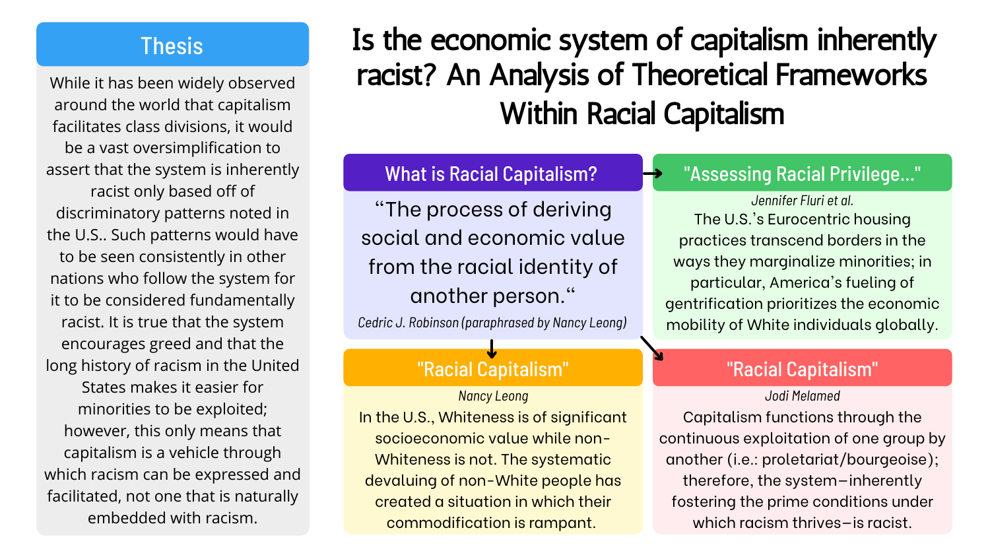# "Assessing Racial Privilege..."

# "Racial Capitalism"

# What is Racial Capitalism?

# "Racial Capitalism"

# Thesis Is the economic system of capitalism inherently racist? An Analysis of Theoretical Frameworks Within Racial Capitalism

*Nancy Leong Jodi Melamed*

While it has been widely observed around the world that capitalism facilitates class divisions, it would be a vast oversimplification to assert that the system is inherently racist only based off of discriminatory patterns noted in the U.S.. Such patterns would have to be seen consistently in other nations who follow the system for it to be considered fundamentally racist. It is true that the system encourages greed and that the long history of racism in the United States makes it easier for minorities to be exploited; however, this only means that capitalism is a vehicle through which racism can be expressed and facilitated, not one that is naturally embedded with racism.

*Jennifer Fluri et al.* The U.S.'s Eurocentric housing practices transcend borders in the ways they marginalize minorities; in particular, America's fueling of gentrification prioritizes the economic mobility of White individuals globally.

"The process of deriving social and economic value from the racial identity of another person."

In the U.S., Whiteness is of significant socioeconomic value while non-Whiteness is not. The systematic devaluing of non-White people has created a situation in which their commodification is rampant.

Capitalism functions through the continuous exploitation of one group by another (i.e.: proletariat/bourgeoise); therefore, the system—inherently fostering the prime conditions under which racism thrives—is racist.

*Cedric J. Robinson (paraphrased by Nancy Leong)*